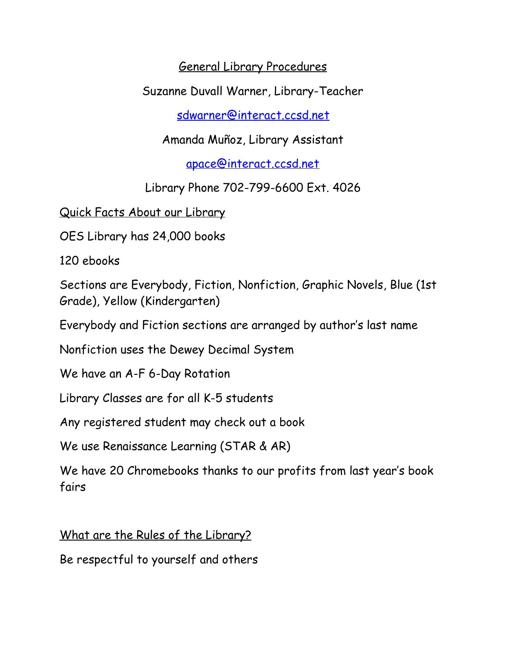General Library Procedures

Suzanne Duvall Warner, Library-Teacher

[sdwarner@interact.ccsd.net](mailto:sdwarner@interact.ccsd.net)

Amanda Muñoz, Library Assistant

[apace@interact.ccsd.net](mailto:apace@interact.ccsd.net)

Library Phone 702-799-6600 Ext. 4026

Quick Facts About our Library

OES Library has 24,000 books

120 ebooks

Sections are Everybody, Fiction, Nonfiction, Graphic Novels, Blue (1st Grade), Yellow (Kindergarten)

Everybody and Fiction sections are arranged by author's last name

Nonfiction uses the Dewey Decimal System

We have an A-F 6-Day Rotation

Library Classes are for all K-5 students

Any registered student may check out a book

We use Renaissance Learning (STAR & AR)

We have 20 Chromebooks thanks to our profits from last year's book fairs

What are the Rules of the Library?

Be respectful to yourself and others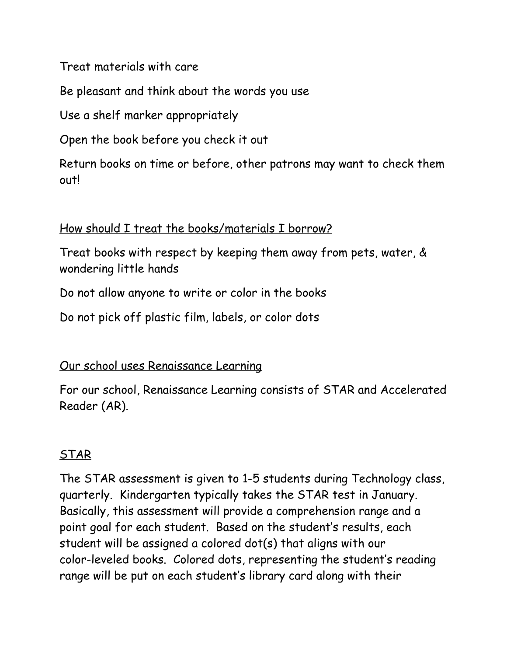Treat materials with care

Be pleasant and think about the words you use

Use a shelf marker appropriately

Open the book before you check it out

Return books on time or before, other patrons may want to check them out!

### How should I treat the books/materials I borrow?

Treat books with respect by keeping them away from pets, water, & wondering little hands

Do not allow anyone to write or color in the books

Do not pick off plastic film, labels, or color dots

### Our school uses Renaissance Learning

For our school, Renaissance Learning consists of STAR and Accelerated Reader (AR).

## STAR

The STAR assessment is given to 1-5 students during Technology class, quarterly. Kindergarten typically takes the STAR test in January. Basically, this assessment will provide a comprehension range and a point goal for each student. Based on the student's results, each student will be assigned a colored dot(s) that aligns with our color-leveled books. Colored dots, representing the student's reading range will be put on each student's library card along with their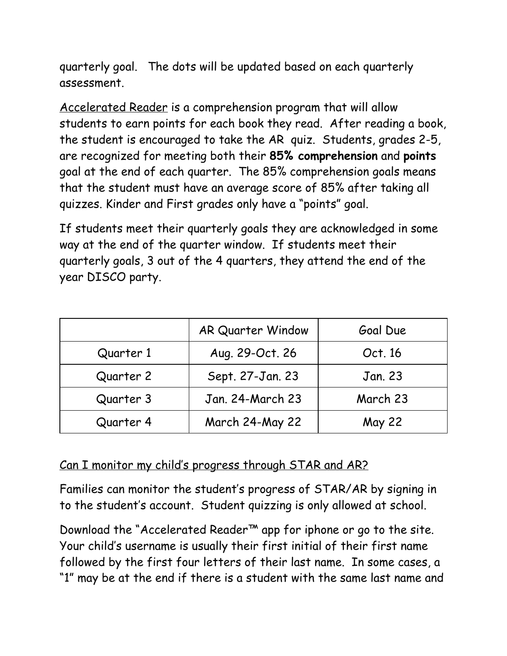quarterly goal. The dots will be updated based on each quarterly assessment.

Accelerated Reader is a comprehension program that will allow students to earn points for each book they read. After reading a book, the student is encouraged to take the AR quiz. Students, grades 2-5, are recognized for meeting both their **85% comprehension** and **points** goal at the end of each quarter. The 85% comprehension goals means that the student must have an average score of 85% after taking all quizzes. Kinder and First grades only have a "points" goal.

If students meet their quarterly goals they are acknowledged in some way at the end of the quarter window. If students meet their quarterly goals, 3 out of the 4 quarters, they attend the end of the year DISCO party.

|           | <b>AR Quarter Window</b> | Goal Due      |
|-----------|--------------------------|---------------|
| Quarter 1 | Aug. 29-Oct. 26          | Oct. 16       |
| Quarter 2 | Sept. 27-Jan. 23         | Jan. 23       |
| Quarter 3 | Jan. 24-March 23         | March 23      |
| Quarter 4 | March 24-May 22          | <b>May 22</b> |

#### Can I monitor my child's progress through STAR and AR?

Families can monitor the student's progress of STAR/AR by signing in to the student's account. Student quizzing is only allowed at school.

Download the "Accelerated Reader™ app for iphone or go to the site. Your child's username is usually their first initial of their first name followed by the first four letters of their last name. In some cases, a "1" may be at the end if there is a student with the same last name and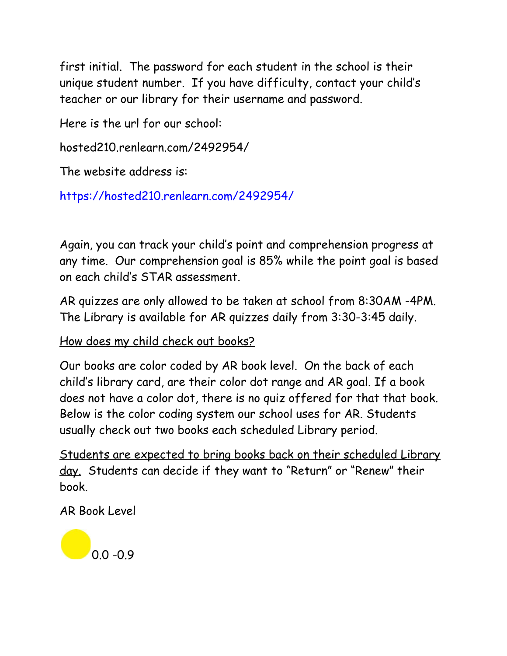first initial. The password for each student in the school is their unique student number. If you have difficulty, contact your child's teacher or our library for their username and password.

Here is the url for our school:

hosted210.renlearn.com/2492954/

The website address is:

<https://hosted210.renlearn.com/2492954/>

Again, you can track your child's point and comprehension progress at any time. Our comprehension goal is 85% while the point goal is based on each child's STAR assessment.

AR quizzes are only allowed to be taken at school from 8:30AM -4PM. The Library is available for AR quizzes daily from 3:30-3:45 daily.

### How does my child check out books?

Our books are color coded by AR book level. On the back of each child's library card, are their color dot range and AR goal. If a book does not have a color dot, there is no quiz offered for that that book. Below is the color coding system our school uses for AR. Students usually check out two books each scheduled Library period.

Students are expected to bring books back on their scheduled Library day. Students can decide if they want to "Return" or "Renew" their book.

AR Book Level

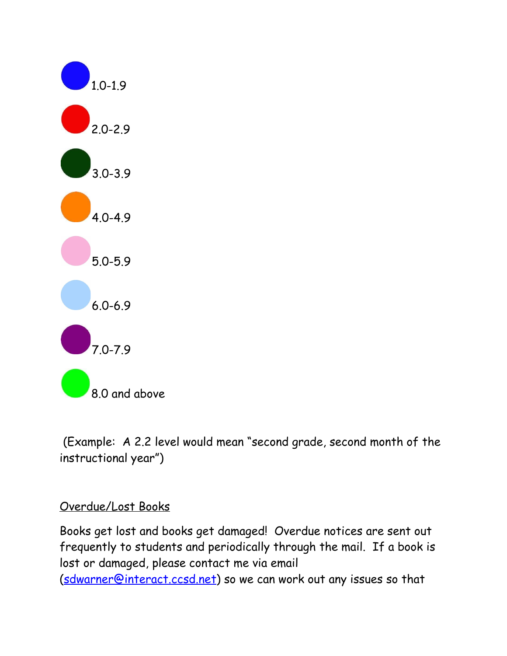

 (Example: A 2.2 level would mean "second grade, second month of the instructional year")

### Overdue/Lost Books

Books get lost and books get damaged! Overdue notices are sent out frequently to students and periodically through the mail. If a book is lost or damaged, please contact me via email [\(sdwarner@interact.ccsd.net\)](mailto:sdwarner@interact.ccsd.net) so we can work out any issues so that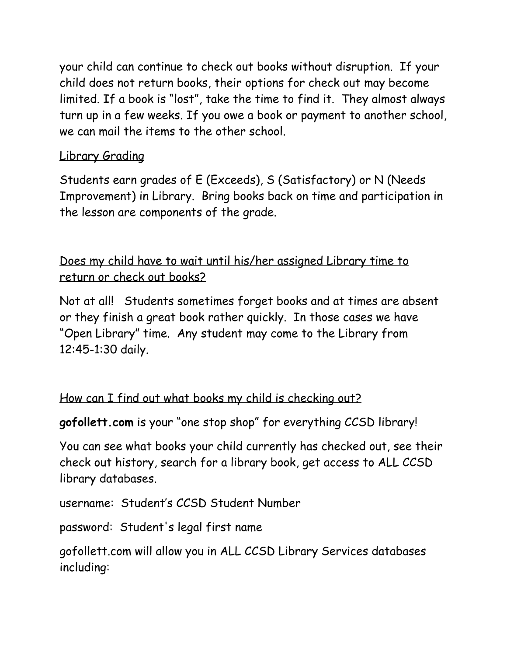your child can continue to check out books without disruption. If your child does not return books, their options for check out may become limited. If a book is "lost", take the time to find it. They almost always turn up in a few weeks. If you owe a book or payment to another school, we can mail the items to the other school.

# Library Grading

Students earn grades of E (Exceeds), S (Satisfactory) or N (Needs Improvement) in Library. Bring books back on time and participation in the lesson are components of the grade.

Does my child have to wait until his/her assigned Library time to return or check out books?

Not at all! Students sometimes forget books and at times are absent or they finish a great book rather quickly. In those cases we have "Open Library" time. Any student may come to the Library from 12:45-1:30 daily.

## How can I find out what books my child is checking out?

**gofollett.com** is your "one stop shop" for everything CCSD library!

You can see what books your child currently has checked out, see their check out history, search for a library book, get access to ALL CCSD library databases.

username: Student's CCSD Student Number

password: Student's legal first name

gofollett.com will allow you in ALL CCSD Library Services databases including: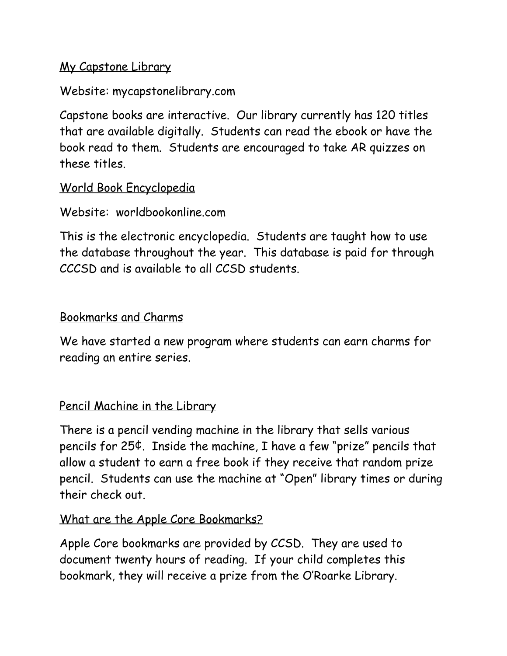### My Capstone Library

Website: mycapstonelibrary.com

Capstone books are interactive. Our library currently has 120 titles that are available digitally. Students can read the ebook or have the book read to them. Students are encouraged to take AR quizzes on these titles.

### World Book Encyclopedia

Website: worldbookonline.com

This is the electronic encyclopedia. Students are taught how to use the database throughout the year. This database is paid for through CCCSD and is available to all CCSD students.

### Bookmarks and Charms

We have started a new program where students can earn charms for reading an entire series.

### Pencil Machine in the Library

There is a pencil vending machine in the library that sells various pencils for 25¢. Inside the machine, I have a few "prize" pencils that allow a student to earn a free book if they receive that random prize pencil. Students can use the machine at "Open" library times or during their check out.

#### What are the Apple Core Bookmarks?

Apple Core bookmarks are provided by CCSD. They are used to document twenty hours of reading. If your child completes this bookmark, they will receive a prize from the O'Roarke Library.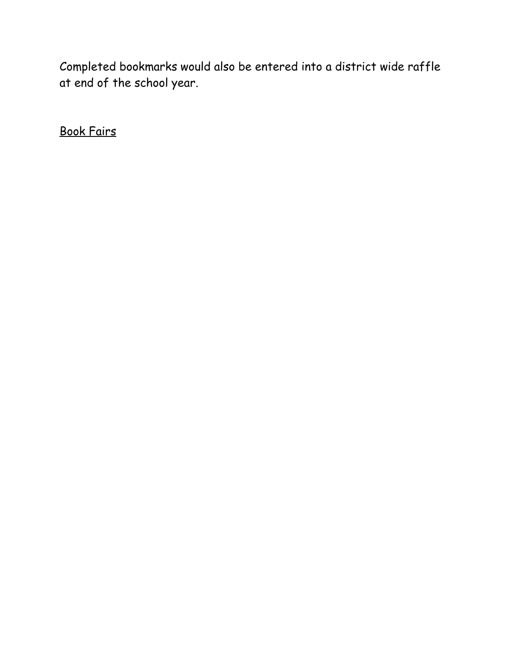Completed bookmarks would also be entered into a district wide raffle at end of the school year.

Book Fairs